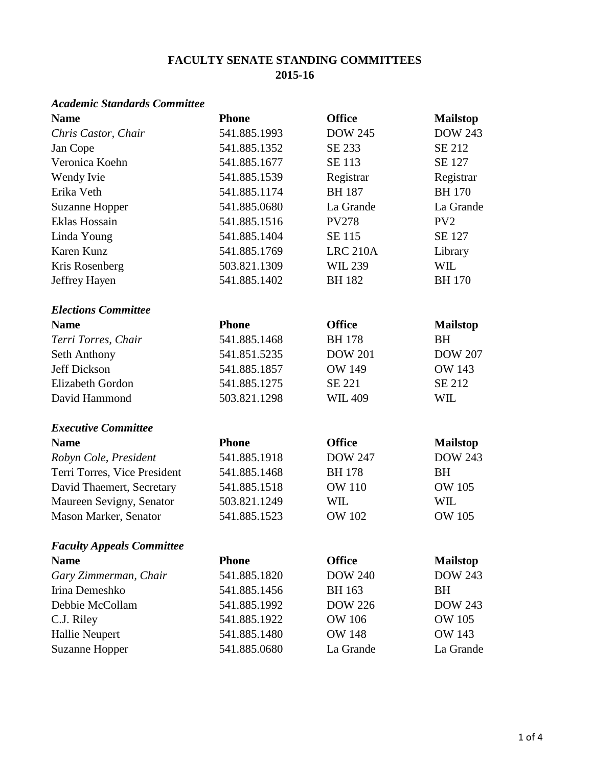### **FACULTY SENATE STANDING COMMITTEES 2015-16**

#### *Academic Standards Committee*

| <b>Name</b>                      | <b>Phone</b> | <b>Office</b>   | <b>Mailstop</b> |
|----------------------------------|--------------|-----------------|-----------------|
| Chris Castor, Chair              | 541.885.1993 | <b>DOW 245</b>  | <b>DOW 243</b>  |
| Jan Cope                         | 541.885.1352 | SE 233          | SE 212          |
| Veronica Koehn                   | 541.885.1677 | SE 113          | <b>SE 127</b>   |
| Wendy Ivie                       | 541.885.1539 | Registrar       | Registrar       |
| Erika Veth                       | 541.885.1174 | <b>BH187</b>    | <b>BH170</b>    |
| <b>Suzanne Hopper</b>            | 541.885.0680 | La Grande       | La Grande       |
| Eklas Hossain                    | 541.885.1516 | <b>PV278</b>    | PV <sub>2</sub> |
| Linda Young                      | 541.885.1404 | SE 115          | SE 127          |
| Karen Kunz                       | 541.885.1769 | <b>LRC 210A</b> | Library         |
| Kris Rosenberg                   | 503.821.1309 | <b>WIL 239</b>  | <b>WIL</b>      |
| Jeffrey Hayen                    | 541.885.1402 | <b>BH182</b>    | <b>BH170</b>    |
| <b>Elections Committee</b>       |              |                 |                 |
| <b>Name</b>                      | <b>Phone</b> | <b>Office</b>   | <b>Mailstop</b> |
| Terri Torres, Chair              | 541.885.1468 | <b>BH178</b>    | <b>BH</b>       |
| Seth Anthony                     | 541.851.5235 | <b>DOW 201</b>  | <b>DOW 207</b>  |
| <b>Jeff Dickson</b>              | 541.885.1857 | <b>OW 149</b>   | <b>OW 143</b>   |
| Elizabeth Gordon                 | 541.885.1275 | SE 221          | SE 212          |
| David Hammond                    | 503.821.1298 | <b>WIL 409</b>  | <b>WIL</b>      |
| <b>Executive Committee</b>       |              |                 |                 |
| <b>Name</b>                      | <b>Phone</b> | <b>Office</b>   | <b>Mailstop</b> |
| Robyn Cole, President            | 541.885.1918 | <b>DOW 247</b>  | <b>DOW 243</b>  |
| Terri Torres, Vice President     | 541.885.1468 | <b>BH178</b>    | <b>BH</b>       |
| David Thaemert, Secretary        | 541.885.1518 | <b>OW 110</b>   | <b>OW 105</b>   |
| Maureen Sevigny, Senator         | 503.821.1249 | <b>WIL</b>      | <b>WIL</b>      |
| Mason Marker, Senator            | 541.885.1523 | <b>OW 102</b>   | <b>OW 105</b>   |
| <b>Faculty Appeals Committee</b> |              |                 |                 |
| <b>Name</b>                      | <b>Phone</b> | <b>Office</b>   | <b>Mailstop</b> |
| Gary Zimmerman, Chair            | 541.885.1820 | <b>DOW 240</b>  | <b>DOW 243</b>  |
| Irina Demeshko                   | 541.885.1456 | <b>BH</b> 163   | <b>BH</b>       |
| Debbie McCollam                  | 541.885.1992 | <b>DOW 226</b>  | <b>DOW 243</b>  |
| C.J. Riley                       | 541.885.1922 | <b>OW 106</b>   | <b>OW 105</b>   |
| <b>Hallie Neupert</b>            | 541.885.1480 | <b>OW 148</b>   | <b>OW 143</b>   |
| <b>Suzanne Hopper</b>            | 541.885.0680 | La Grande       | La Grande       |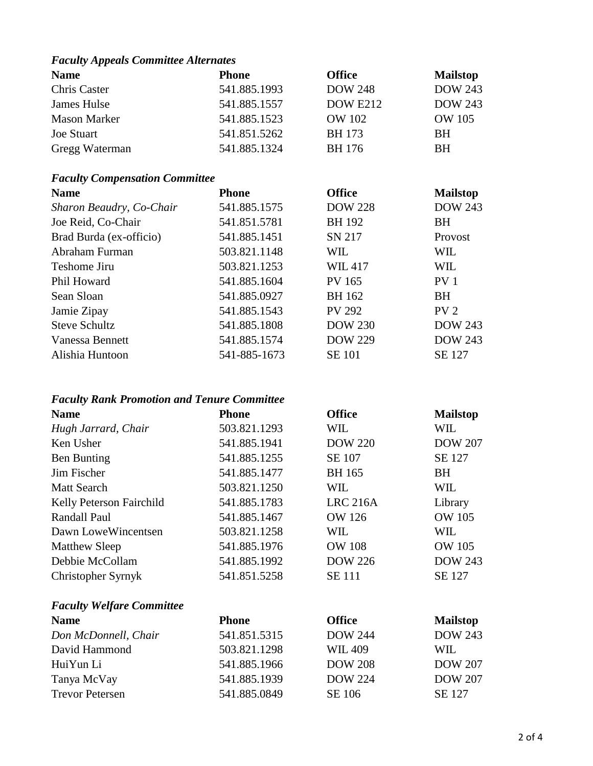### *Faculty Appeals Committee Alternates*

| <b>Name</b>         | <b>Phone</b> | <b>Office</b>   | <b>Mailstop</b> |
|---------------------|--------------|-----------------|-----------------|
| Chris Caster        | 541.885.1993 | <b>DOW 248</b>  | <b>DOW 243</b>  |
| James Hulse         | 541.885.1557 | <b>DOW E212</b> | <b>DOW 243</b>  |
| <b>Mason Marker</b> | 541.885.1523 | OW 102          | OW 105          |
| <b>Joe Stuart</b>   | 541.851.5262 | <b>BH</b> 173   | <b>BH</b>       |
| Gregg Waterman      | 541.885.1324 | BH 176          | BH              |

# *Faculty Compensation Committee*

| <b>Phone</b> | <b>Office</b>  | <b>Mailstop</b> |
|--------------|----------------|-----------------|
| 541.885.1575 | <b>DOW 228</b> | <b>DOW 243</b>  |
| 541.851.5781 | <b>BH</b> 192  | <b>BH</b>       |
| 541.885.1451 | SN 217         | Provost         |
| 503.821.1148 | <b>WIL</b>     | <b>WIL</b>      |
| 503.821.1253 | <b>WIL417</b>  | <b>WIL</b>      |
| 541.885.1604 | <b>PV 165</b>  | PV <sub>1</sub> |
| 541.885.0927 | <b>BH</b> 162  | <b>BH</b>       |
| 541.885.1543 | <b>PV 292</b>  | PV <sub>2</sub> |
| 541.885.1808 | <b>DOW 230</b> | <b>DOW 243</b>  |
| 541.885.1574 | <b>DOW 229</b> | <b>DOW 243</b>  |
| 541-885-1673 | <b>SE 101</b>  | SE 127          |
|              |                |                 |

## *Faculty Rank Promotion and Tenure Committee*

| <b>Name</b>                      | <b>Phone</b> | <b>Office</b>   | <b>Mailstop</b> |
|----------------------------------|--------------|-----------------|-----------------|
| Hugh Jarrard, Chair              | 503.821.1293 | WIL             | WIL             |
| Ken Usher                        | 541.885.1941 | <b>DOW 220</b>  | <b>DOW 207</b>  |
| <b>Ben Bunting</b>               | 541.885.1255 | SE 107          | SE 127          |
| Jim Fischer                      | 541.885.1477 | <b>BH</b> 165   | <b>BH</b>       |
| <b>Matt Search</b>               | 503.821.1250 | WIL             | WIL             |
| Kelly Peterson Fairchild         | 541.885.1783 | <b>LRC 216A</b> | Library         |
| Randall Paul                     | 541.885.1467 | <b>OW 126</b>   | <b>OW 105</b>   |
| Dawn Lowe Wincentsen             | 503.821.1258 | WIL             | WIL             |
| <b>Matthew Sleep</b>             | 541.885.1976 | <b>OW 108</b>   | <b>OW 105</b>   |
| Debbie McCollam                  | 541.885.1992 | <b>DOW 226</b>  | <b>DOW 243</b>  |
| Christopher Syrnyk               | 541.851.5258 | <b>SE</b> 111   | SE 127          |
| <b>Faculty Welfare Committee</b> |              |                 |                 |
| <b>Name</b>                      | <b>Phone</b> | <b>Office</b>   | <b>Mailstop</b> |
| Don McDonnell, Chair             | 541.851.5315 | <b>DOW 244</b>  | <b>DOW 243</b>  |
| David Hammond                    | 503.821.1298 | <b>WIL 409</b>  | WIL             |
| HuiYun Li                        | 541.885.1966 | <b>DOW 208</b>  | <b>DOW 207</b>  |
| Tanya McVay                      | 541.885.1939 | <b>DOW 224</b>  | <b>DOW 207</b>  |
| <b>Trevor Petersen</b>           | 541.885.0849 | SE 106          | SE 127          |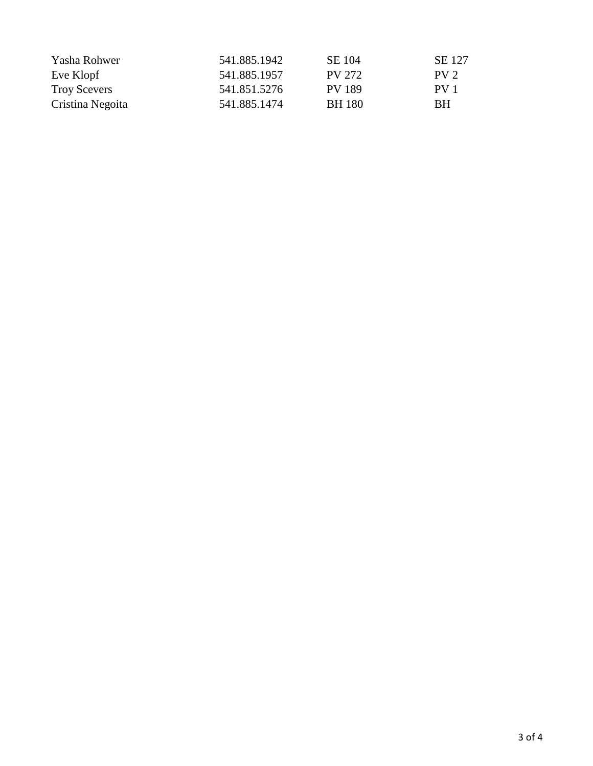| Yasha Rohwer        | 541.885.1942 | SE 104        | SE 127          |
|---------------------|--------------|---------------|-----------------|
| Eve Klopf           | 541.885.1957 | PV 272        | PV <sub>2</sub> |
| <b>Troy Scevers</b> | 541.851.5276 | PV 189        | PV 1            |
| Cristina Negoita    | 541.885.1474 | <b>BH</b> 180 | BH              |